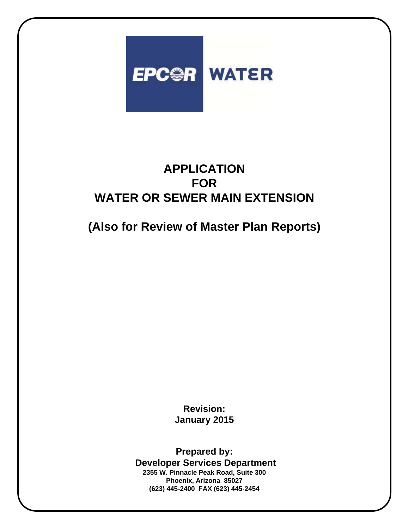

**(Also for Review of Master Plan Reports)**

**Revision: January 2015**

**Prepared by: Developer Services Department 2355 W. Pinnacle Peak Road, Suite 300 Phoenix, Arizona 85027 (623) 445-2400 FAX (623) 445-2454**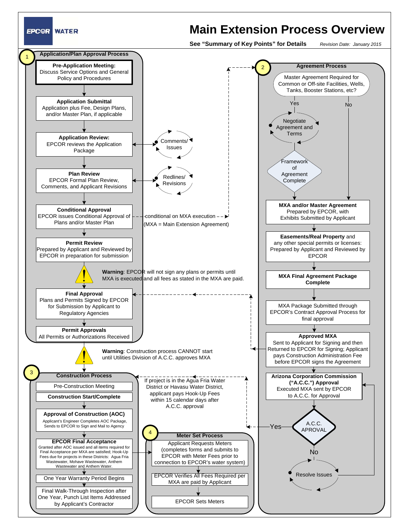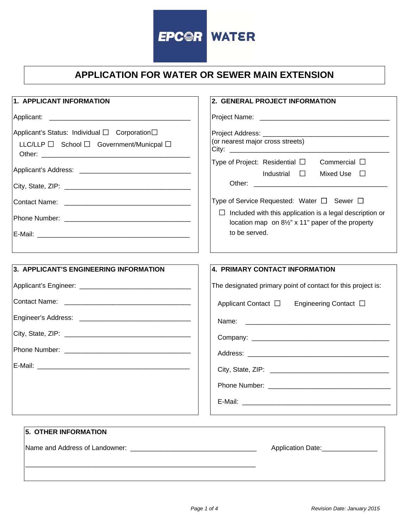

| 1. APPLICANT INFORMATION                      | 2. GENERAL PROJECT INFORMATION                                                                                       |  |  |  |  |  |
|-----------------------------------------------|----------------------------------------------------------------------------------------------------------------------|--|--|--|--|--|
| Applicant:                                    |                                                                                                                      |  |  |  |  |  |
| Applicant's Status: Individual □ Corporation□ |                                                                                                                      |  |  |  |  |  |
| LLC/LLP □ School □ Government/Municpal □      | (or nearest major cross streets)                                                                                     |  |  |  |  |  |
|                                               | Type of Project: Residential □<br>Commercial $\Box$<br>Industrial $\square$<br>Mixed Use $\Box$                      |  |  |  |  |  |
|                                               |                                                                                                                      |  |  |  |  |  |
|                                               | Type of Service Requested: Water $\Box$ Sewer $\Box$                                                                 |  |  |  |  |  |
|                                               | $\Box$ Included with this application is a legal description or<br>location map on 81/2" x 11" paper of the property |  |  |  |  |  |
|                                               | to be served.                                                                                                        |  |  |  |  |  |
|                                               |                                                                                                                      |  |  |  |  |  |
| 3. APPLICANT'S ENGINEERING INFORMATION        | 4. PRIMARY CONTACT INFORMATION                                                                                       |  |  |  |  |  |
|                                               | The designated primary point of contact for this project is:                                                         |  |  |  |  |  |
|                                               | Applicant Contact □<br>Engineering Contact □                                                                         |  |  |  |  |  |
|                                               |                                                                                                                      |  |  |  |  |  |
|                                               |                                                                                                                      |  |  |  |  |  |
|                                               |                                                                                                                      |  |  |  |  |  |
|                                               |                                                                                                                      |  |  |  |  |  |
|                                               |                                                                                                                      |  |  |  |  |  |
|                                               |                                                                                                                      |  |  |  |  |  |
| <b>5. OTHER INFORMATION</b>                   |                                                                                                                      |  |  |  |  |  |

\_\_\_\_\_\_\_\_\_\_\_\_\_\_\_\_\_\_\_\_\_\_\_\_\_\_\_\_\_\_\_\_\_\_\_\_\_\_\_\_\_\_\_\_\_\_\_\_\_\_\_\_\_\_\_\_\_\_\_\_\_\_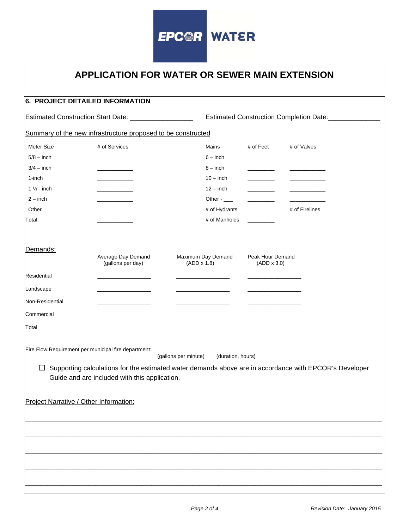

| 6. PROJECT DETAILED INFORMATION                                |                                                                                                                        |                                                        |                                          |                                        |                                                                                                        |
|----------------------------------------------------------------|------------------------------------------------------------------------------------------------------------------------|--------------------------------------------------------|------------------------------------------|----------------------------------------|--------------------------------------------------------------------------------------------------------|
| Estimated Construction Start Date: ____________________        |                                                                                                                        | Estimated Construction Completion Date: ______________ |                                          |                                        |                                                                                                        |
|                                                                | Summary of the new infrastructure proposed to be constructed                                                           |                                                        |                                          |                                        |                                                                                                        |
| Meter Size<br>$5/8 - inch$                                     | # of Services<br>and the company of                                                                                    |                                                        | Mains<br>$6 - inch$                      | # of Feet                              | # of Valves                                                                                            |
| $3/4 - inch$<br>1-inch<br>$1\frac{1}{2}$ - inch                |                                                                                                                        |                                                        | $8 - inch$<br>$10 - inch$<br>$12 - inch$ | $\overline{\phantom{a}}$               |                                                                                                        |
| $2 - inch$<br>Other                                            |                                                                                                                        |                                                        | Other $-$<br># of Hydrants               |                                        | # of Firelines _________                                                                               |
| Total:                                                         |                                                                                                                        |                                                        | # of Manholes                            |                                        |                                                                                                        |
| Demands:                                                       | Average Day Demand<br>(gallons per day)                                                                                | (ADD x 1.8)                                            | Maximum Day Demand                       | Peak Hour Demand<br>$(ADD \times 3.0)$ |                                                                                                        |
| Residential                                                    |                                                                                                                        |                                                        |                                          |                                        |                                                                                                        |
| Landscape                                                      |                                                                                                                        |                                                        |                                          |                                        |                                                                                                        |
| Non-Residential                                                |                                                                                                                        |                                                        |                                          |                                        |                                                                                                        |
| Commercial                                                     | <u> 1980 - John Harrison, mars and de la partie de la partie de la partie de la partie de la partie de la partie d</u> |                                                        |                                          |                                        |                                                                                                        |
| Total                                                          |                                                                                                                        |                                                        |                                          |                                        |                                                                                                        |
| Fire Flow Requirement per municipal fire department:<br>$\Box$ | Guide and are included with this application.                                                                          | (gallons per minute)                                   | (duration, hours)                        |                                        | Supporting calculations for the estimated water demands above are in accordance with EPCOR's Developer |
| Project Narrative / Other Information:                         |                                                                                                                        |                                                        |                                          |                                        |                                                                                                        |
|                                                                |                                                                                                                        |                                                        |                                          |                                        |                                                                                                        |
|                                                                |                                                                                                                        |                                                        |                                          |                                        |                                                                                                        |
|                                                                |                                                                                                                        |                                                        |                                          |                                        |                                                                                                        |
|                                                                |                                                                                                                        |                                                        |                                          |                                        |                                                                                                        |
|                                                                |                                                                                                                        |                                                        |                                          |                                        |                                                                                                        |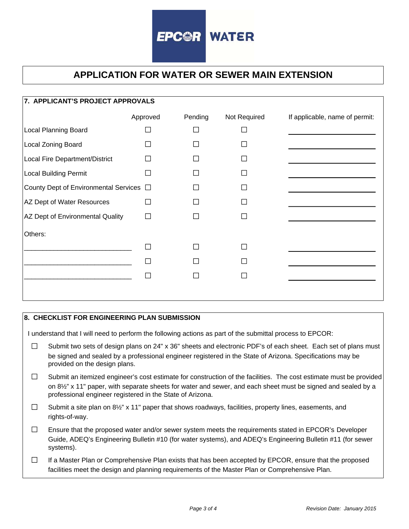

| 7. APPLICANT'S PROJECT APPROVALS             |          |         |              |                                |  |  |  |  |
|----------------------------------------------|----------|---------|--------------|--------------------------------|--|--|--|--|
|                                              | Approved | Pending | Not Required | If applicable, name of permit: |  |  |  |  |
| <b>Local Planning Board</b>                  |          |         |              |                                |  |  |  |  |
| Local Zoning Board                           |          |         |              |                                |  |  |  |  |
| Local Fire Department/District               |          |         |              |                                |  |  |  |  |
| Local Building Permit                        |          |         |              |                                |  |  |  |  |
| County Dept of Environmental Services $\Box$ |          |         |              |                                |  |  |  |  |
| AZ Dept of Water Resources                   |          |         |              |                                |  |  |  |  |
| AZ Dept of Environmental Quality             |          |         |              |                                |  |  |  |  |
| Others:                                      |          |         |              |                                |  |  |  |  |
|                                              |          |         |              |                                |  |  |  |  |
|                                              |          |         |              |                                |  |  |  |  |
|                                              |          |         |              |                                |  |  |  |  |
|                                              |          |         |              |                                |  |  |  |  |
|                                              |          |         |              |                                |  |  |  |  |

## **8. CHECKLIST FOR ENGINEERING PLAN SUBMISSION**

I understand that I will need to perform the following actions as part of the submittal process to EPCOR:

- $\Box$ Submit two sets of design plans on 24" x 36" sheets and electronic PDF's of each sheet. Each set of plans must be signed and sealed by a professional engineer registered in the State of Arizona. Specifications may be provided on the design plans.
- $\Box$ Submit an itemized engineer's cost estimate for construction of the facilities. The cost estimate must be provided on 8½" x 11" paper, with separate sheets for water and sewer, and each sheet must be signed and sealed by a professional engineer registered in the State of Arizona.
- $\Box$ Submit a site plan on 8½" x 11" paper that shows roadways, facilities, property lines, easements, and rights-of-way.
- $\Box$ Ensure that the proposed water and/or sewer system meets the requirements stated in EPCOR's Developer Guide, ADEQ's Engineering Bulletin #10 (for water systems), and ADEQ's Engineering Bulletin #11 (for sewer systems).
- $\Box$ If a Master Plan or Comprehensive Plan exists that has been accepted by EPCOR, ensure that the proposed facilities meet the design and planning requirements of the Master Plan or Comprehensive Plan.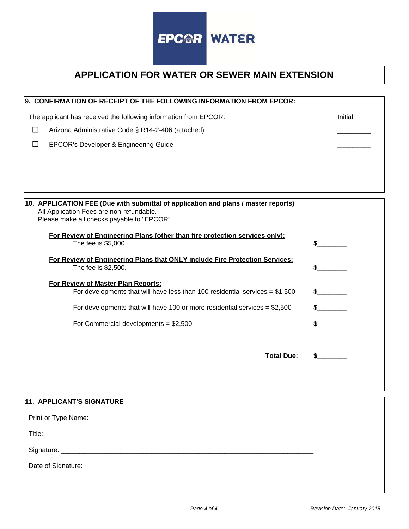

| 9. CONFIRMATION OF RECEIPT OF THE FOLLOWING INFORMATION FROM EPCOR:                                |         |
|----------------------------------------------------------------------------------------------------|---------|
| The applicant has received the following information from EPCOR:                                   | Initial |
| $\Box$<br>Arizona Administrative Code § R14-2-406 (attached)                                       |         |
| EPCOR's Developer & Engineering Guide<br>$\Box$                                                    |         |
|                                                                                                    |         |
|                                                                                                    |         |
|                                                                                                    |         |
| 10. APPLICATION FEE (Due with submittal of application and plans / master reports)                 |         |
| All Application Fees are non-refundable.<br>Please make all checks payable to "EPCOR"              |         |
|                                                                                                    |         |
| For Review of Engineering Plans (other than fire protection services only):<br>The fee is \$5,000. | \$      |
| For Review of Engineering Plans that ONLY include Fire Protection Services:                        |         |
| The fee is \$2,500.                                                                                | \$      |
| For Review of Master Plan Reports:                                                                 |         |
| For developments that will have less than 100 residential services = $$1,500$                      | \$      |
| For developments that will have 100 or more residential services = $$2,500$                        | \$      |
| For Commercial developments = $$2,500$                                                             | \$      |
|                                                                                                    |         |
| <b>Total Due:</b>                                                                                  |         |
|                                                                                                    |         |
|                                                                                                    |         |
| 11. APPLICANT'S SIGNATURE                                                                          |         |
|                                                                                                    |         |
|                                                                                                    |         |
|                                                                                                    |         |
|                                                                                                    |         |
|                                                                                                    |         |
|                                                                                                    |         |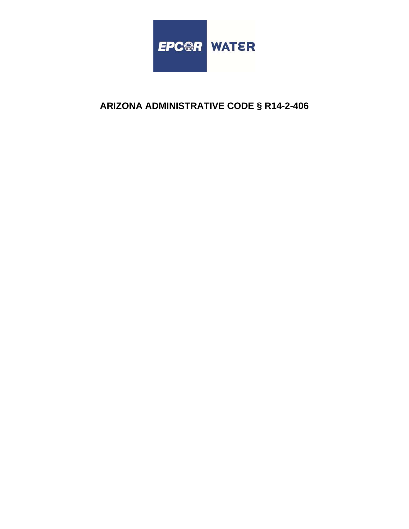

# **ARIZONA ADMINISTRATIVE CODE § R14-2-406**